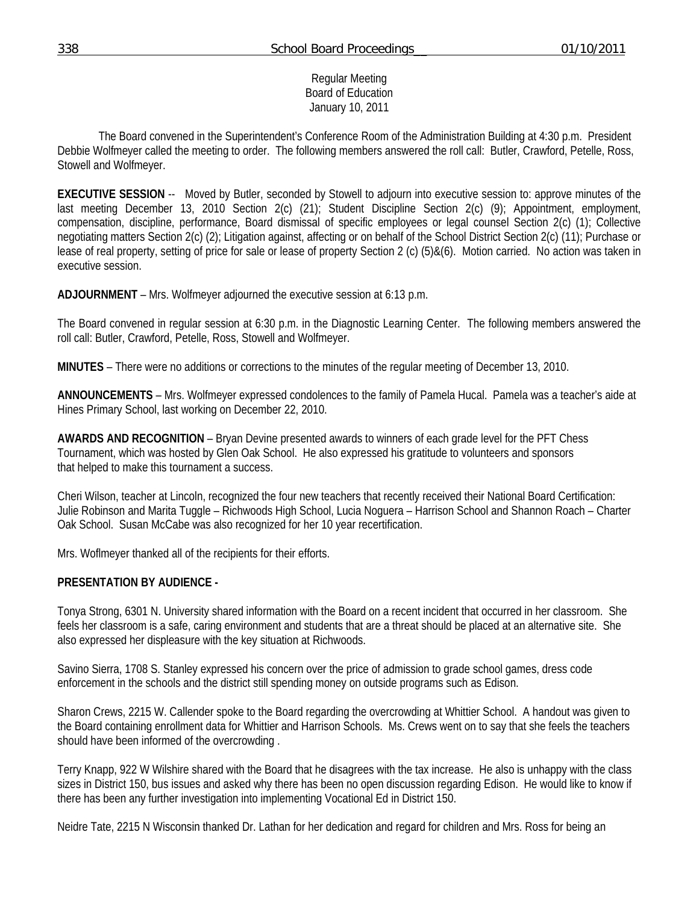# Regular Meeting Board of Education January 10, 2011

 The Board convened in the Superintendent's Conference Room of the Administration Building at 4:30 p.m. President Debbie Wolfmeyer called the meeting to order. The following members answered the roll call: Butler, Crawford, Petelle, Ross, Stowell and Wolfmeyer.

**EXECUTIVE SESSION** -- Moved by Butler, seconded by Stowell to adjourn into executive session to: approve minutes of the last meeting December 13, 2010 Section 2(c) (21); Student Discipline Section 2(c) (9); Appointment, employment, compensation, discipline, performance, Board dismissal of specific employees or legal counsel Section 2(c) (1); Collective negotiating matters Section 2(c) (2); Litigation against, affecting or on behalf of the School District Section 2(c) (11); Purchase or lease of real property, setting of price for sale or lease of property Section 2 (c) (5)&(6). Motion carried. No action was taken in executive session.

**ADJOURNMENT** – Mrs. Wolfmeyer adjourned the executive session at 6:13 p.m.

The Board convened in regular session at 6:30 p.m. in the Diagnostic Learning Center. The following members answered the roll call: Butler, Crawford, Petelle, Ross, Stowell and Wolfmeyer.

**MINUTES** – There were no additions or corrections to the minutes of the regular meeting of December 13, 2010.

**ANNOUNCEMENTS** – Mrs. Wolfmeyer expressed condolences to the family of Pamela Hucal. Pamela was a teacher's aide at Hines Primary School, last working on December 22, 2010.

**AWARDS AND RECOGNITION** – Bryan Devine presented awards to winners of each grade level for the PFT Chess Tournament, which was hosted by Glen Oak School. He also expressed his gratitude to volunteers and sponsors that helped to make this tournament a success.

Cheri Wilson, teacher at Lincoln, recognized the four new teachers that recently received their National Board Certification: Julie Robinson and Marita Tuggle – Richwoods High School, Lucia Noguera – Harrison School and Shannon Roach – Charter Oak School. Susan McCabe was also recognized for her 10 year recertification.

Mrs. Woflmeyer thanked all of the recipients for their efforts.

# **PRESENTATION BY AUDIENCE -**

Tonya Strong, 6301 N. University shared information with the Board on a recent incident that occurred in her classroom. She feels her classroom is a safe, caring environment and students that are a threat should be placed at an alternative site. She also expressed her displeasure with the key situation at Richwoods.

Savino Sierra, 1708 S. Stanley expressed his concern over the price of admission to grade school games, dress code enforcement in the schools and the district still spending money on outside programs such as Edison.

Sharon Crews, 2215 W. Callender spoke to the Board regarding the overcrowding at Whittier School. A handout was given to the Board containing enrollment data for Whittier and Harrison Schools. Ms. Crews went on to say that she feels the teachers should have been informed of the overcrowding .

Terry Knapp, 922 W Wilshire shared with the Board that he disagrees with the tax increase. He also is unhappy with the class sizes in District 150, bus issues and asked why there has been no open discussion regarding Edison. He would like to know if there has been any further investigation into implementing Vocational Ed in District 150.

Neidre Tate, 2215 N Wisconsin thanked Dr. Lathan for her dedication and regard for children and Mrs. Ross for being an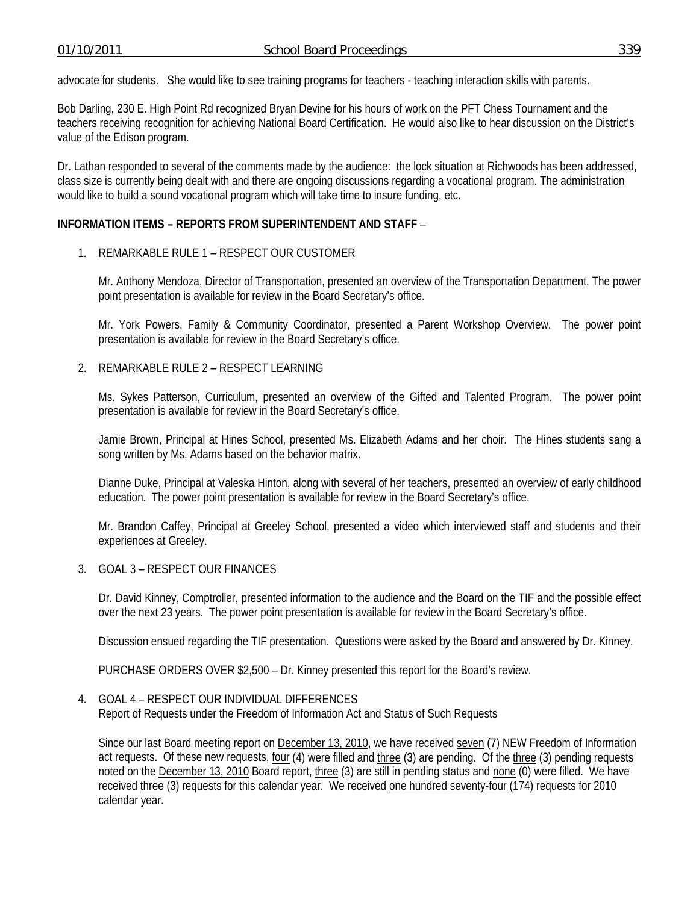advocate for students. She would like to see training programs for teachers - teaching interaction skills with parents.

Bob Darling, 230 E. High Point Rd recognized Bryan Devine for his hours of work on the PFT Chess Tournament and the teachers receiving recognition for achieving National Board Certification. He would also like to hear discussion on the District's value of the Edison program.

Dr. Lathan responded to several of the comments made by the audience: the lock situation at Richwoods has been addressed, class size is currently being dealt with and there are ongoing discussions regarding a vocational program. The administration would like to build a sound vocational program which will take time to insure funding, etc.

# **INFORMATION ITEMS – REPORTS FROM SUPERINTENDENT AND STAFF** –

# 1. REMARKABLE RULE 1 – RESPECT OUR CUSTOMER

Mr. Anthony Mendoza, Director of Transportation, presented an overview of the Transportation Department. The power point presentation is available for review in the Board Secretary's office.

Mr. York Powers, Family & Community Coordinator, presented a Parent Workshop Overview. The power point presentation is available for review in the Board Secretary's office.

# 2. REMARKABLE RULE 2 – RESPECT LEARNING

Ms. Sykes Patterson, Curriculum, presented an overview of the Gifted and Talented Program. The power point presentation is available for review in the Board Secretary's office.

Jamie Brown, Principal at Hines School, presented Ms. Elizabeth Adams and her choir. The Hines students sang a song written by Ms. Adams based on the behavior matrix.

Dianne Duke, Principal at Valeska Hinton, along with several of her teachers, presented an overview of early childhood education. The power point presentation is available for review in the Board Secretary's office.

Mr. Brandon Caffey, Principal at Greeley School, presented a video which interviewed staff and students and their experiences at Greeley.

#### 3. GOAL 3 – RESPECT OUR FINANCES

Dr. David Kinney, Comptroller, presented information to the audience and the Board on the TIF and the possible effect over the next 23 years. The power point presentation is available for review in the Board Secretary's office.

Discussion ensued regarding the TIF presentation. Questions were asked by the Board and answered by Dr. Kinney.

PURCHASE ORDERS OVER \$2,500 – Dr. Kinney presented this report for the Board's review.

#### 4. GOAL 4 – RESPECT OUR INDIVIDUAL DIFFERENCES

Report of Requests under the Freedom of Information Act and Status of Such Requests

Since our last Board meeting report on December 13, 2010, we have received seven (7) NEW Freedom of Information act requests. Of these new requests, four (4) were filled and three (3) are pending. Of the three (3) pending requests noted on the December 13, 2010 Board report, three (3) are still in pending status and none (0) were filled. We have received three (3) requests for this calendar year. We received one hundred seventy-four (174) requests for 2010 calendar year.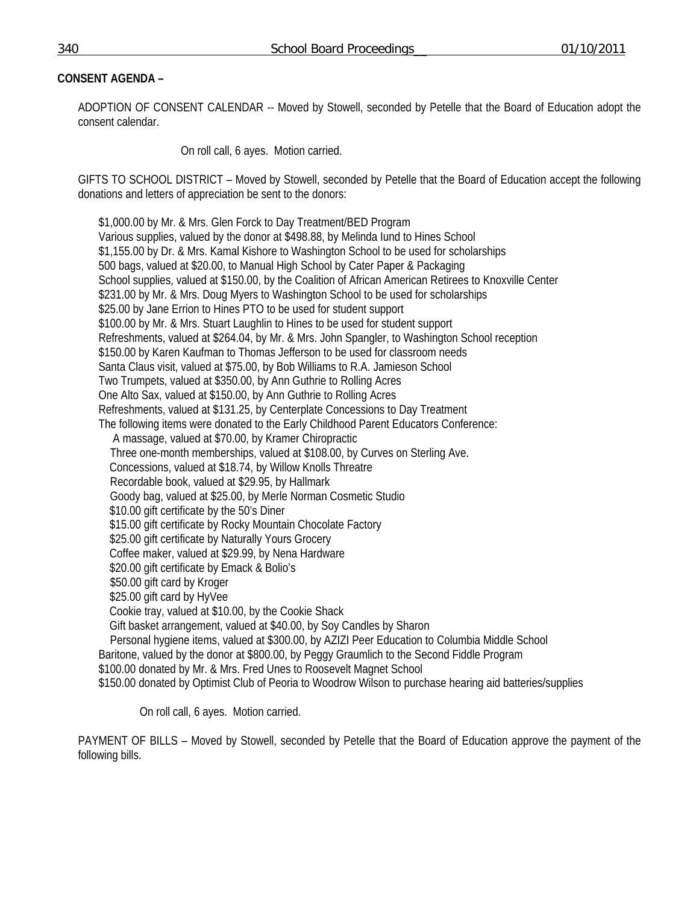# **CONSENT AGENDA –**

ADOPTION OF CONSENT CALENDAR -- Moved by Stowell, seconded by Petelle that the Board of Education adopt the consent calendar.

On roll call, 6 ayes. Motion carried.

GIFTS TO SCHOOL DISTRICT – Moved by Stowell, seconded by Petelle that the Board of Education accept the following donations and letters of appreciation be sent to the donors:

 \$1,000.00 by Mr. & Mrs. Glen Forck to Day Treatment/BED Program Various supplies, valued by the donor at \$498.88, by Melinda Iund to Hines School \$1,155.00 by Dr. & Mrs. Kamal Kishore to Washington School to be used for scholarships 500 bags, valued at \$20.00, to Manual High School by Cater Paper & Packaging School supplies, valued at \$150.00, by the Coalition of African American Retirees to Knoxville Center \$231.00 by Mr. & Mrs. Doug Myers to Washington School to be used for scholarships \$25.00 by Jane Errion to Hines PTO to be used for student support \$100.00 by Mr. & Mrs. Stuart Laughlin to Hines to be used for student support Refreshments, valued at \$264.04, by Mr. & Mrs. John Spangler, to Washington School reception \$150.00 by Karen Kaufman to Thomas Jefferson to be used for classroom needs Santa Claus visit, valued at \$75.00, by Bob Williams to R.A. Jamieson School Two Trumpets, valued at \$350.00, by Ann Guthrie to Rolling Acres One Alto Sax, valued at \$150.00, by Ann Guthrie to Rolling Acres Refreshments, valued at \$131.25, by Centerplate Concessions to Day Treatment The following items were donated to the Early Childhood Parent Educators Conference: A massage, valued at \$70.00, by Kramer Chiropractic Three one-month memberships, valued at \$108.00, by Curves on Sterling Ave. Concessions, valued at \$18.74, by Willow Knolls Threatre Recordable book, valued at \$29.95, by Hallmark Goody bag, valued at \$25.00, by Merle Norman Cosmetic Studio \$10.00 gift certificate by the 50's Diner \$15.00 gift certificate by Rocky Mountain Chocolate Factory \$25.00 gift certificate by Naturally Yours Grocery Coffee maker, valued at \$29.99, by Nena Hardware \$20.00 gift certificate by Emack & Bolio's \$50.00 gift card by Kroger \$25.00 gift card by HyVee Cookie tray, valued at \$10.00, by the Cookie Shack Gift basket arrangement, valued at \$40.00, by Soy Candles by Sharon Personal hygiene items, valued at \$300.00, by AZIZI Peer Education to Columbia Middle School Baritone, valued by the donor at \$800.00, by Peggy Graumlich to the Second Fiddle Program \$100.00 donated by Mr. & Mrs. Fred Unes to Roosevelt Magnet School \$150.00 donated by Optimist Club of Peoria to Woodrow Wilson to purchase hearing aid batteries/supplies

On roll call, 6 ayes. Motion carried.

PAYMENT OF BILLS – Moved by Stowell, seconded by Petelle that the Board of Education approve the payment of the following bills.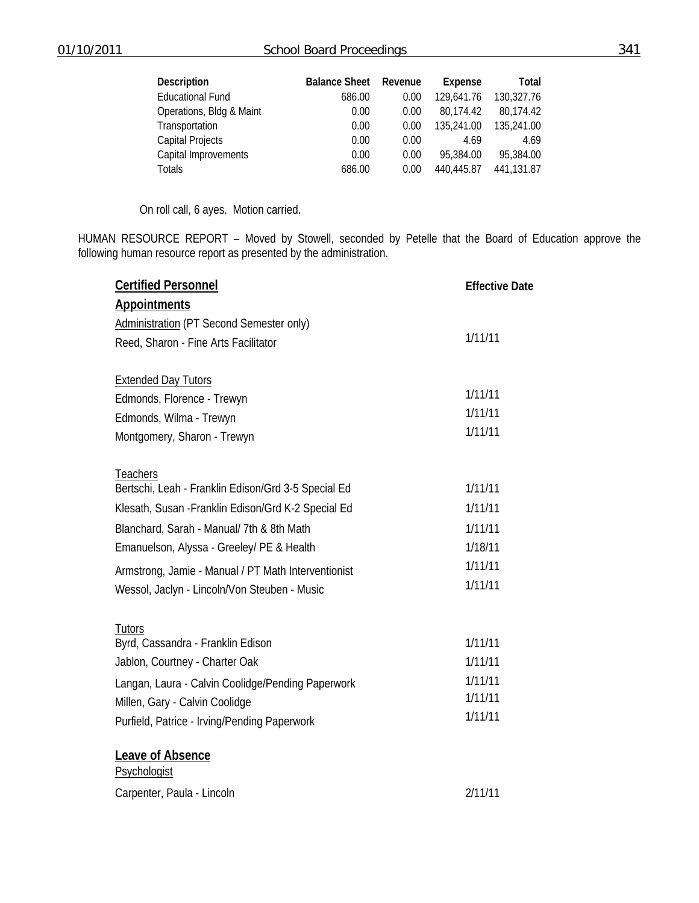| <b>Description</b>       | <b>Balance Sheet</b> | Revenue | Expense    | Total      |
|--------------------------|----------------------|---------|------------|------------|
| <b>Educational Fund</b>  | 686.00               | 0.00    | 129,641.76 | 130,327.76 |
| Operations, Bldg & Maint | 0.00                 | 0.00    | 80.174.42  | 80,174.42  |
| Transportation           | 0.00                 | 0.00    | 135,241.00 | 135,241.00 |
| <b>Capital Projects</b>  | 0.00                 | 0.00    | 4.69       | 4.69       |
| Capital Improvements     | 0.00                 | 0.00    | 95,384.00  | 95,384.00  |
| <b>Totals</b>            | 686.00               | 0.00    | 440,445.87 | 441,131.87 |

On roll call, 6 ayes. Motion carried.

HUMAN RESOURCE REPORT – Moved by Stowell, seconded by Petelle that the Board of Education approve the following human resource report as presented by the administration.

| <b>Certified Personnel</b>                          | <b>Effective Date</b> |  |
|-----------------------------------------------------|-----------------------|--|
| <b>Appointments</b>                                 |                       |  |
| <b>Administration (PT Second Semester only)</b>     |                       |  |
| Reed, Sharon - Fine Arts Facilitator                | 1/11/11               |  |
| <b>Extended Day Tutors</b>                          |                       |  |
| Edmonds, Florence - Trewyn                          | 1/11/11               |  |
| Edmonds, Wilma - Trewyn                             | 1/11/11               |  |
| Montgomery, Sharon - Trewyn                         | 1/11/11               |  |
| Teachers                                            |                       |  |
| Bertschi, Leah - Franklin Edison/Grd 3-5 Special Ed | 1/11/11               |  |
| Klesath, Susan - Franklin Edison/Grd K-2 Special Ed | 1/11/11               |  |
| Blanchard, Sarah - Manual/ 7th & 8th Math           | 1/11/11               |  |
| Emanuelson, Alyssa - Greeley/ PE & Health           | 1/18/11               |  |
| Armstrong, Jamie - Manual / PT Math Interventionist | 1/11/11               |  |
| Wessol, Jaclyn - Lincoln/Von Steuben - Music        | 1/11/11               |  |
| Tutors                                              |                       |  |
| Byrd, Cassandra - Franklin Edison                   | 1/11/11               |  |
| Jablon, Courtney - Charter Oak                      | 1/11/11               |  |
| Langan, Laura - Calvin Coolidge/Pending Paperwork   | 1/11/11               |  |
| Millen, Gary - Calvin Coolidge                      | 1/11/11               |  |
| Purfield, Patrice - Irving/Pending Paperwork        | 1/11/11               |  |
| Leave of Absence                                    |                       |  |
| Psychologist                                        |                       |  |
| Carpenter, Paula - Lincoln                          | 2/11/11               |  |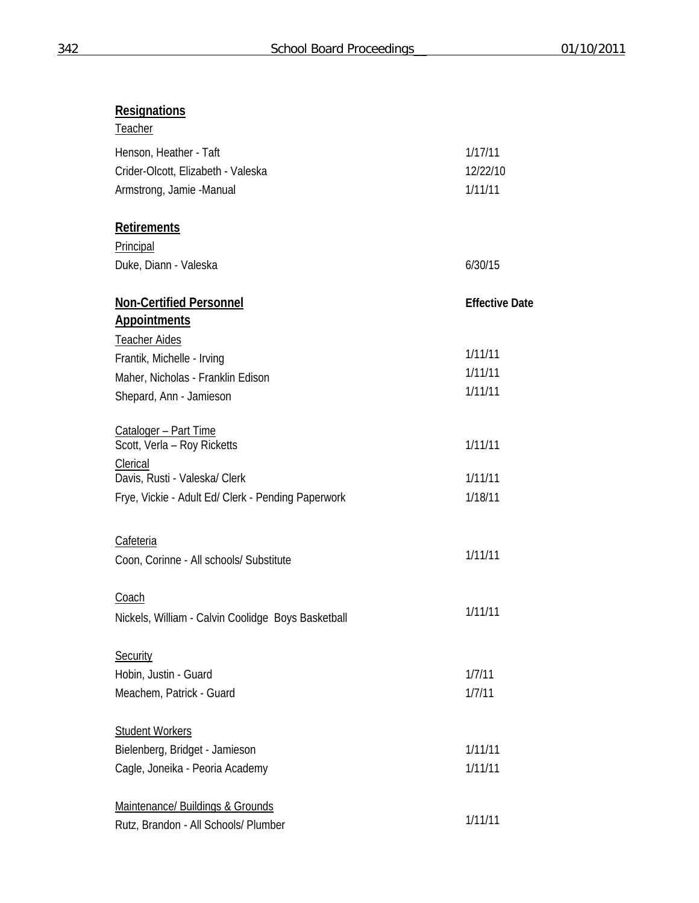# **Resignations**

| Teacher                                            |                       |
|----------------------------------------------------|-----------------------|
| Henson, Heather - Taft                             | 1/17/11               |
| Crider-Olcott, Elizabeth - Valeska                 | 12/22/10              |
| Armstrong, Jamie -Manual                           | 1/11/11               |
|                                                    |                       |
| <b>Retirements</b>                                 |                       |
| Principal                                          |                       |
| Duke, Diann - Valeska                              | 6/30/15               |
|                                                    |                       |
| <b>Non-Certified Personnel</b>                     | <b>Effective Date</b> |
| <b>Appointments</b>                                |                       |
| <b>Teacher Aides</b>                               |                       |
| Frantik, Michelle - Irving                         | 1/11/11               |
| Maher, Nicholas - Franklin Edison                  | 1/11/11               |
| Shepard, Ann - Jamieson                            | 1/11/11               |
|                                                    |                       |
| Cataloger - Part Time                              |                       |
| Scott, Verla - Roy Ricketts                        | 1/11/11               |
| Clerical                                           |                       |
| Davis, Rusti - Valeska/ Clerk                      | 1/11/11               |
| Frye, Vickie - Adult Ed/ Clerk - Pending Paperwork | 1/18/11               |
|                                                    |                       |
| <b>Cafeteria</b>                                   | 1/11/11               |
| Coon, Corinne - All schools/ Substitute            |                       |
|                                                    |                       |
| Coach                                              | 1/11/11               |
| Nickels, William - Calvin Coolidge Boys Basketball |                       |
|                                                    |                       |
| Security                                           |                       |
| Hobin, Justin - Guard                              | 1/7/11                |
| Meachem, Patrick - Guard                           | 1/7/11                |
|                                                    |                       |
| <b>Student Workers</b>                             |                       |
| Bielenberg, Bridget - Jamieson                     | 1/11/11               |
| Cagle, Joneika - Peoria Academy                    | 1/11/11               |
|                                                    |                       |
| Maintenance/ Buildings & Grounds                   | 1/11/11               |
| Rutz, Brandon - All Schools/ Plumber               |                       |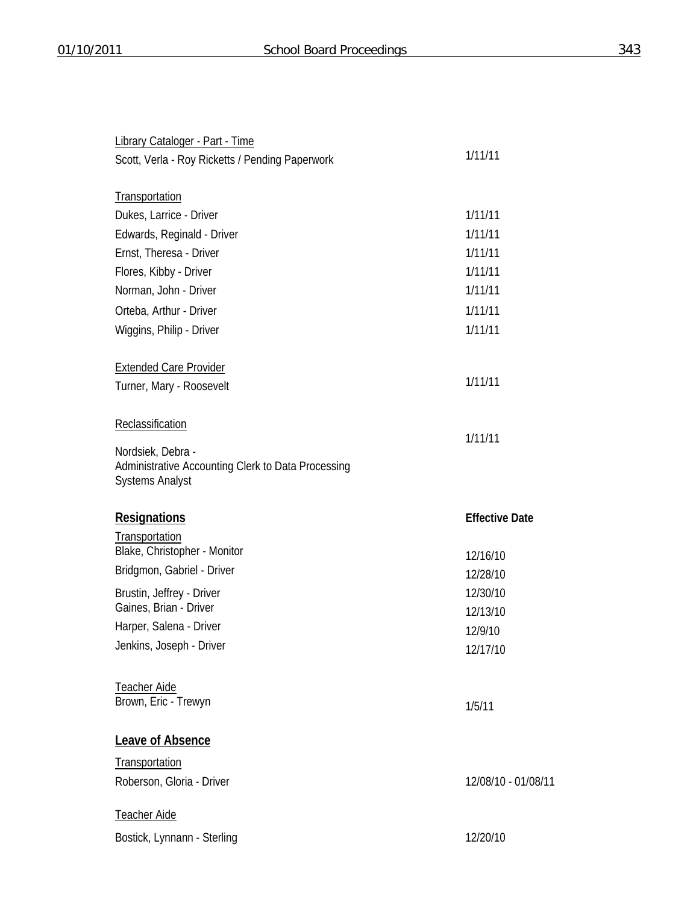| <b>Library Cataloger - Part - Time</b>                                                            |                       |
|---------------------------------------------------------------------------------------------------|-----------------------|
| Scott, Verla - Roy Ricketts / Pending Paperwork                                                   | 1/11/11               |
|                                                                                                   |                       |
| Transportation                                                                                    |                       |
| Dukes, Larrice - Driver                                                                           | 1/11/11               |
| Edwards, Reginald - Driver                                                                        | 1/11/11               |
| Ernst, Theresa - Driver                                                                           | 1/11/11               |
| Flores, Kibby - Driver                                                                            | 1/11/11               |
| Norman, John - Driver                                                                             | 1/11/11               |
| Orteba, Arthur - Driver                                                                           | 1/11/11               |
| Wiggins, Philip - Driver                                                                          | 1/11/11               |
| <b>Extended Care Provider</b>                                                                     |                       |
| Turner, Mary - Roosevelt                                                                          | 1/11/11               |
| Reclassification                                                                                  |                       |
|                                                                                                   | 1/11/11               |
| Nordsiek, Debra -<br>Administrative Accounting Clerk to Data Processing<br><b>Systems Analyst</b> |                       |
| <b>Resignations</b>                                                                               | <b>Effective Date</b> |
| Transportation                                                                                    |                       |
| Blake, Christopher - Monitor                                                                      | 12/16/10              |
| Bridgmon, Gabriel - Driver                                                                        | 12/28/10              |
| Brustin, Jeffrey - Driver                                                                         | 12/30/10              |
| Gaines, Brian - Driver                                                                            | 12/13/10              |
| Harper, Salena - Driver                                                                           | 12/9/10               |
| Jenkins, Joseph - Driver                                                                          | 12/17/10              |
| Teacher Aide                                                                                      |                       |
| Brown, Eric - Trewyn                                                                              | 1/5/11                |
| Leave of Absence                                                                                  |                       |
| Transportation                                                                                    |                       |
| Roberson, Gloria - Driver                                                                         | 12/08/10 - 01/08/11   |
| Teacher Aide                                                                                      |                       |
| Bostick, Lynnann - Sterling                                                                       | 12/20/10              |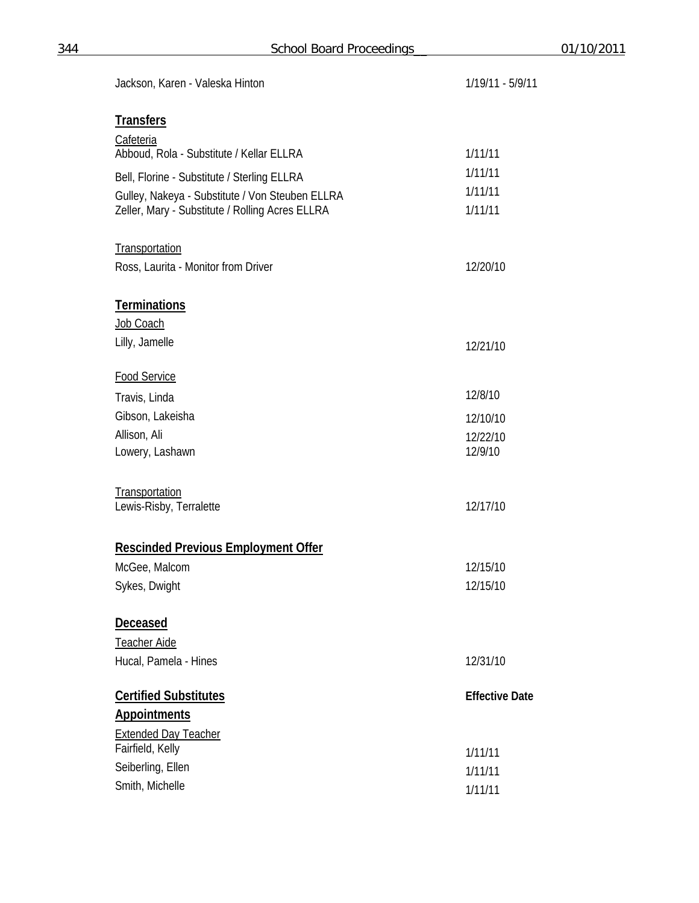| Jackson, Karen - Valeska Hinton                              | 1/19/11 - 5/9/11      |
|--------------------------------------------------------------|-----------------------|
| <b>Transfers</b>                                             |                       |
|                                                              |                       |
| <b>Cafeteria</b><br>Abboud, Rola - Substitute / Kellar ELLRA | 1/11/11               |
| Bell, Florine - Substitute / Sterling ELLRA                  | 1/11/11               |
| Gulley, Nakeya - Substitute / Von Steuben ELLRA              | 1/11/11               |
| Zeller, Mary - Substitute / Rolling Acres ELLRA              | 1/11/11               |
|                                                              |                       |
| Transportation                                               |                       |
| Ross, Laurita - Monitor from Driver                          | 12/20/10              |
| <b>Terminations</b>                                          |                       |
| Job Coach                                                    |                       |
| Lilly, Jamelle                                               | 12/21/10              |
|                                                              |                       |
| <b>Food Service</b>                                          |                       |
| Travis, Linda                                                | 12/8/10               |
| Gibson, Lakeisha                                             | 12/10/10              |
| Allison, Ali<br>Lowery, Lashawn                              | 12/22/10<br>12/9/10   |
|                                                              |                       |
| Transportation                                               |                       |
| Lewis-Risby, Terralette                                      | 12/17/10              |
|                                                              |                       |
| <b>Rescinded Previous Employment Offer</b>                   |                       |
| McGee, Malcom                                                | 12/15/10              |
| Sykes, Dwight                                                | 12/15/10              |
| <b>Deceased</b>                                              |                       |
| Teacher Aide                                                 |                       |
| Hucal, Pamela - Hines                                        | 12/31/10              |
|                                                              |                       |
| <b>Certified Substitutes</b>                                 | <b>Effective Date</b> |
| <b>Appointments</b>                                          |                       |
| <b>Extended Day Teacher</b><br>Fairfield, Kelly              |                       |
| Seiberling, Ellen                                            | 1/11/11<br>1/11/11    |
| Smith, Michelle                                              | 1/11/11               |
|                                                              |                       |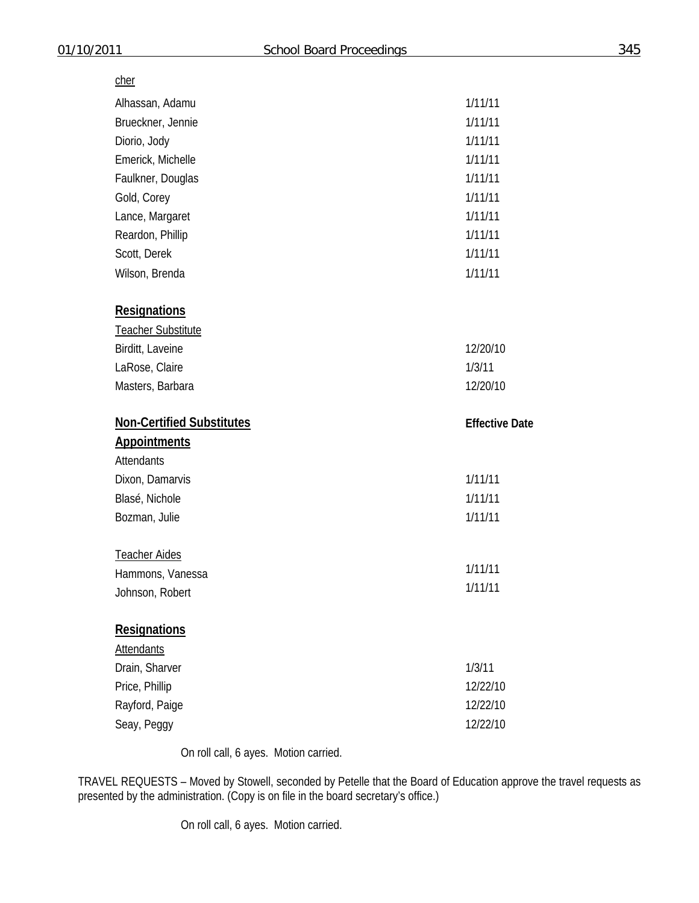# cher

| Alhassan, Adamu                  | 1/11/11               |
|----------------------------------|-----------------------|
| Brueckner, Jennie                | 1/11/11               |
| Diorio, Jody                     | 1/11/11               |
| Emerick, Michelle                | 1/11/11               |
| Faulkner, Douglas                | 1/11/11               |
| Gold, Corey                      | 1/11/11               |
| Lance, Margaret                  | 1/11/11               |
| Reardon, Phillip                 | 1/11/11               |
| Scott, Derek                     | 1/11/11               |
| Wilson, Brenda                   | 1/11/11               |
| <b>Resignations</b>              |                       |
| Teacher Substitute               |                       |
| Birditt, Laveine                 | 12/20/10              |
| LaRose, Claire                   | 1/3/11                |
| Masters, Barbara                 | 12/20/10              |
| <b>Non-Certified Substitutes</b> | <b>Effective Date</b> |
| <b>Appointments</b>              |                       |
| <b>Attendants</b>                |                       |
|                                  |                       |
| Dixon, Damarvis                  | 1/11/11               |
| Blasé, Nichole                   | 1/11/11               |
| Bozman, Julie                    | 1/11/11               |
| <b>Teacher Aides</b>             |                       |
| Hammons, Vanessa                 | 1/11/11               |
| Johnson, Robert                  | 1/11/11               |
| <b>Resignations</b>              |                       |
| <b>Attendants</b>                |                       |
| Drain, Sharver                   | 1/3/11                |
| Price, Phillip                   | 12/22/10              |
| Rayford, Paige                   | 12/22/10              |

On roll call, 6 ayes. Motion carried.

TRAVEL REQUESTS – Moved by Stowell, seconded by Petelle that the Board of Education approve the travel requests as presented by the administration. (Copy is on file in the board secretary's office.)

On roll call, 6 ayes. Motion carried.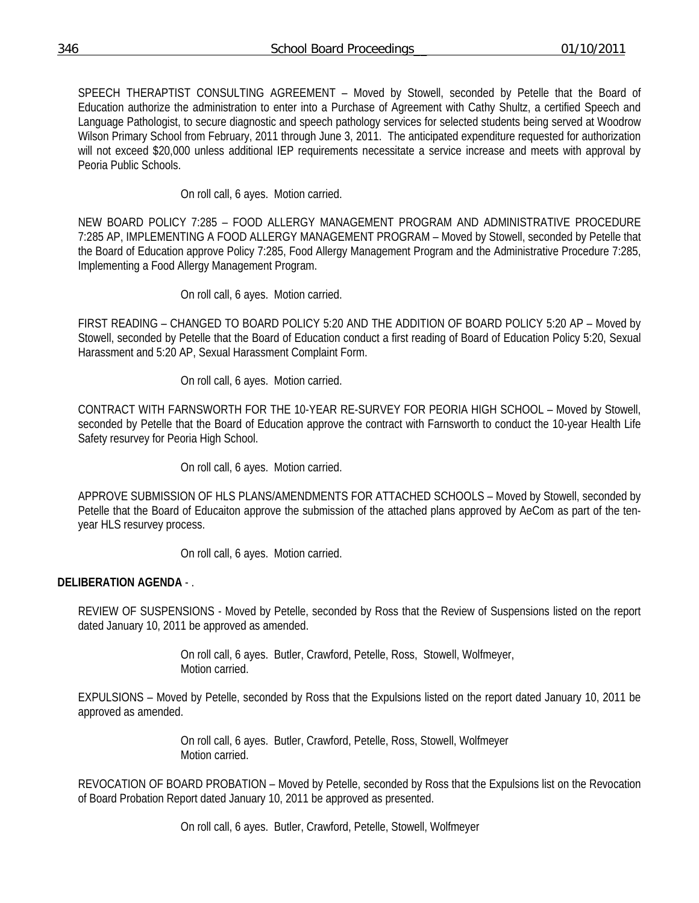SPEECH THERAPTIST CONSULTING AGREEMENT – Moved by Stowell, seconded by Petelle that the Board of Education authorize the administration to enter into a Purchase of Agreement with Cathy Shultz, a certified Speech and Language Pathologist, to secure diagnostic and speech pathology services for selected students being served at Woodrow Wilson Primary School from February, 2011 through June 3, 2011. The anticipated expenditure requested for authorization will not exceed \$20,000 unless additional IEP requirements necessitate a service increase and meets with approval by Peoria Public Schools.

On roll call, 6 ayes. Motion carried.

NEW BOARD POLICY 7:285 – FOOD ALLERGY MANAGEMENT PROGRAM AND ADMINISTRATIVE PROCEDURE 7:285 AP, IMPLEMENTING A FOOD ALLERGY MANAGEMENT PROGRAM – Moved by Stowell, seconded by Petelle that the Board of Education approve Policy 7:285, Food Allergy Management Program and the Administrative Procedure 7:285, Implementing a Food Allergy Management Program.

On roll call, 6 ayes. Motion carried.

FIRST READING – CHANGED TO BOARD POLICY 5:20 AND THE ADDITION OF BOARD POLICY 5:20 AP – Moved by Stowell, seconded by Petelle that the Board of Education conduct a first reading of Board of Education Policy 5:20, Sexual Harassment and 5:20 AP, Sexual Harassment Complaint Form.

On roll call, 6 ayes. Motion carried.

CONTRACT WITH FARNSWORTH FOR THE 10-YEAR RE-SURVEY FOR PEORIA HIGH SCHOOL – Moved by Stowell, seconded by Petelle that the Board of Education approve the contract with Farnsworth to conduct the 10-year Health Life Safety resurvey for Peoria High School.

On roll call, 6 ayes. Motion carried.

APPROVE SUBMISSION OF HLS PLANS/AMENDMENTS FOR ATTACHED SCHOOLS – Moved by Stowell, seconded by Petelle that the Board of Educaiton approve the submission of the attached plans approved by AeCom as part of the tenyear HLS resurvey process.

On roll call, 6 ayes. Motion carried.

# **DELIBERATION AGENDA** - .

REVIEW OF SUSPENSIONS - Moved by Petelle, seconded by Ross that the Review of Suspensions listed on the report dated January 10, 2011 be approved as amended.

> On roll call, 6 ayes. Butler, Crawford, Petelle, Ross, Stowell, Wolfmeyer, Motion carried.

EXPULSIONS – Moved by Petelle, seconded by Ross that the Expulsions listed on the report dated January 10, 2011 be approved as amended.

> On roll call, 6 ayes. Butler, Crawford, Petelle, Ross, Stowell, Wolfmeyer Motion carried.

REVOCATION OF BOARD PROBATION – Moved by Petelle, seconded by Ross that the Expulsions list on the Revocation of Board Probation Report dated January 10, 2011 be approved as presented.

On roll call, 6 ayes. Butler, Crawford, Petelle, Stowell, Wolfmeyer